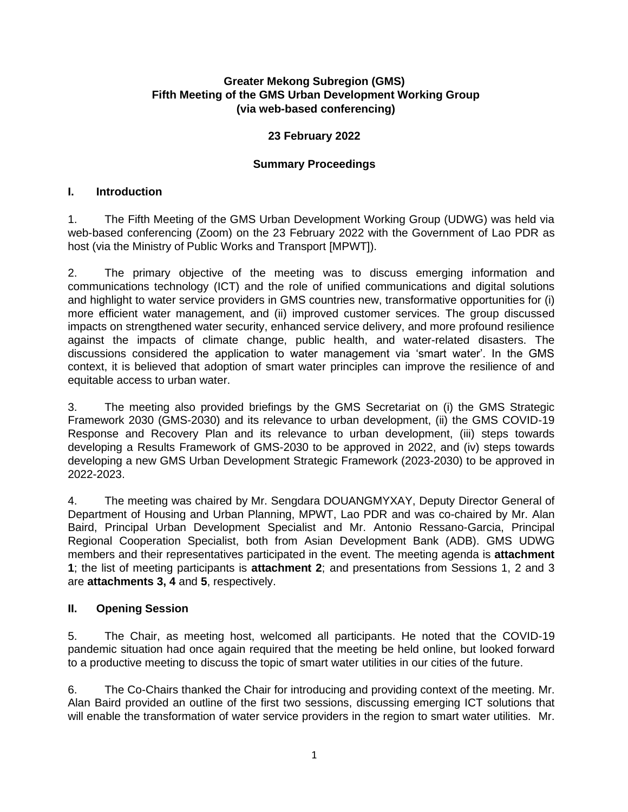## **Greater Mekong Subregion (GMS) Fifth Meeting of the GMS Urban Development Working Group (via web-based conferencing)**

## **23 February 2022**

# **Summary Proceedings**

## **I. Introduction**

1. The Fifth Meeting of the GMS Urban Development Working Group (UDWG) was held via web-based conferencing (Zoom) on the 23 February 2022 with the Government of Lao PDR as host (via the Ministry of Public Works and Transport [MPWT]).

2. The primary objective of the meeting was to discuss emerging information and communications technology (ICT) and the role of unified communications and digital solutions and highlight to water service providers in GMS countries new, transformative opportunities for (i) more efficient water management, and (ii) improved customer services. The group discussed impacts on strengthened water security, enhanced service delivery, and more profound resilience against the impacts of climate change, public health, and water-related disasters. The discussions considered the application to water management via 'smart water'. In the GMS context, it is believed that adoption of smart water principles can improve the resilience of and equitable access to urban water.

3. The meeting also provided briefings by the GMS Secretariat on (i) the GMS Strategic Framework 2030 (GMS-2030) and its relevance to urban development, (ii) the GMS COVID-19 Response and Recovery Plan and its relevance to urban development, (iii) steps towards developing a Results Framework of GMS-2030 to be approved in 2022, and (iv) steps towards developing a new GMS Urban Development Strategic Framework (2023-2030) to be approved in 2022-2023.

4. The meeting was chaired by Mr. Sengdara DOUANGMYXAY, Deputy Director General of Department of Housing and Urban Planning, MPWT, Lao PDR and was co-chaired by Mr. Alan Baird, Principal Urban Development Specialist and Mr. Antonio Ressano-Garcia, Principal Regional Cooperation Specialist, both from Asian Development Bank (ADB). GMS UDWG members and their representatives participated in the event. The meeting agenda is **attachment 1**; the list of meeting participants is **attachment 2**; and presentations from Sessions 1, 2 and 3 are **attachments 3, 4** and **5**, respectively.

## **II. Opening Session**

5. The Chair, as meeting host, welcomed all participants. He noted that the COVID-19 pandemic situation had once again required that the meeting be held online, but looked forward to a productive meeting to discuss the topic of smart water utilities in our cities of the future.

6. The Co-Chairs thanked the Chair for introducing and providing context of the meeting. Mr. Alan Baird provided an outline of the first two sessions, discussing emerging ICT solutions that will enable the transformation of water service providers in the region to smart water utilities. Mr.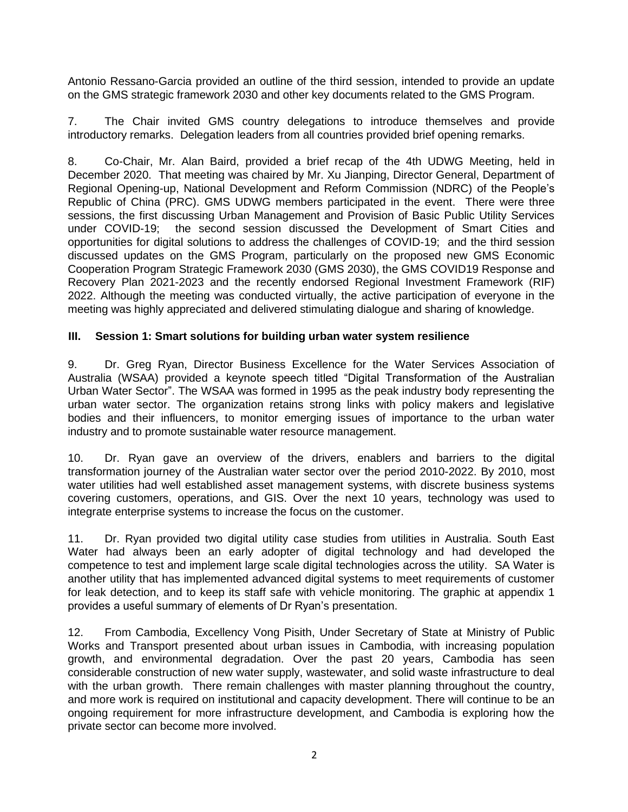Antonio Ressano-Garcia provided an outline of the third session, intended to provide an update on the GMS strategic framework 2030 and other key documents related to the GMS Program.

7. The Chair invited GMS country delegations to introduce themselves and provide introductory remarks. Delegation leaders from all countries provided brief opening remarks.

8. Co-Chair, Mr. Alan Baird, provided a brief recap of the 4th UDWG Meeting, held in December 2020. That meeting was chaired by Mr. Xu Jianping, Director General, Department of Regional Opening-up, National Development and Reform Commission (NDRC) of the People's Republic of China (PRC). GMS UDWG members participated in the event. There were three sessions, the first discussing Urban Management and Provision of Basic Public Utility Services under COVID-19; the second session discussed the Development of Smart Cities and opportunities for digital solutions to address the challenges of COVID-19; and the third session discussed updates on the GMS Program, particularly on the proposed new GMS Economic Cooperation Program Strategic Framework 2030 (GMS 2030), the GMS COVID19 Response and Recovery Plan 2021-2023 and the recently endorsed Regional Investment Framework (RIF) 2022. Although the meeting was conducted virtually, the active participation of everyone in the meeting was highly appreciated and delivered stimulating dialogue and sharing of knowledge.

# **III. Session 1: Smart solutions for building urban water system resilience**

9. Dr. Greg Ryan, Director Business Excellence for the Water Services Association of Australia (WSAA) provided a keynote speech titled "Digital Transformation of the Australian Urban Water Sector". The WSAA was formed in 1995 as the peak industry body representing the urban water sector. The organization retains strong links with policy makers and legislative bodies and their influencers, to monitor emerging issues of importance to the urban water industry and to promote sustainable water resource management.

10. Dr. Ryan gave an overview of the drivers, enablers and barriers to the digital transformation journey of the Australian water sector over the period 2010-2022. By 2010, most water utilities had well established asset management systems, with discrete business systems covering customers, operations, and GIS. Over the next 10 years, technology was used to integrate enterprise systems to increase the focus on the customer.

11. Dr. Ryan provided two digital utility case studies from utilities in Australia. South East Water had always been an early adopter of digital technology and had developed the competence to test and implement large scale digital technologies across the utility. SA Water is another utility that has implemented advanced digital systems to meet requirements of customer for leak detection, and to keep its staff safe with vehicle monitoring. The graphic at appendix 1 provides a useful summary of elements of Dr Ryan's presentation.

12. From Cambodia, Excellency Vong Pisith, Under Secretary of State at Ministry of Public Works and Transport presented about urban issues in Cambodia, with increasing population growth, and environmental degradation. Over the past 20 years, Cambodia has seen considerable construction of new water supply, wastewater, and solid waste infrastructure to deal with the urban growth. There remain challenges with master planning throughout the country, and more work is required on institutional and capacity development. There will continue to be an ongoing requirement for more infrastructure development, and Cambodia is exploring how the private sector can become more involved.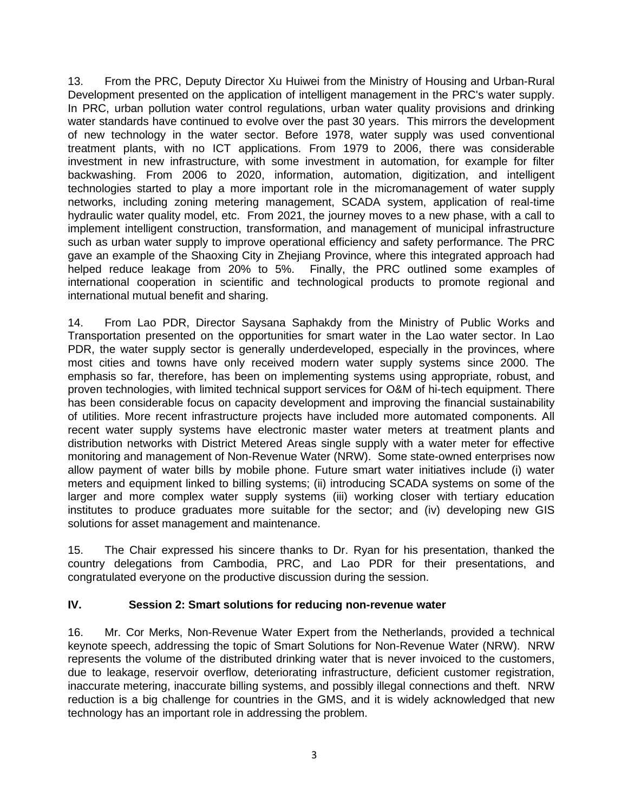13. From the PRC, Deputy Director Xu Huiwei from the Ministry of Housing and Urban-Rural Development presented on the application of intelligent management in the PRC's water supply. In PRC, urban pollution water control regulations, urban water quality provisions and drinking water standards have continued to evolve over the past 30 years. This mirrors the development of new technology in the water sector. Before 1978, water supply was used conventional treatment plants, with no ICT applications. From 1979 to 2006, there was considerable investment in new infrastructure, with some investment in automation, for example for filter backwashing. From 2006 to 2020, information, automation, digitization, and intelligent technologies started to play a more important role in the micromanagement of water supply networks, including zoning metering management, SCADA system, application of real-time hydraulic water quality model, etc. From 2021, the journey moves to a new phase, with a call to implement intelligent construction, transformation, and management of municipal infrastructure such as urban water supply to improve operational efficiency and safety performance. The PRC gave an example of the Shaoxing City in Zhejiang Province, where this integrated approach had helped reduce leakage from 20% to 5%. Finally, the PRC outlined some examples of international cooperation in scientific and technological products to promote regional and international mutual benefit and sharing.

14. From Lao PDR, Director Saysana Saphakdy from the Ministry of Public Works and Transportation presented on the opportunities for smart water in the Lao water sector. In Lao PDR, the water supply sector is generally underdeveloped, especially in the provinces, where most cities and towns have only received modern water supply systems since 2000. The emphasis so far, therefore, has been on implementing systems using appropriate, robust, and proven technologies, with limited technical support services for O&M of hi-tech equipment. There has been considerable focus on capacity development and improving the financial sustainability of utilities. More recent infrastructure projects have included more automated components. All recent water supply systems have electronic master water meters at treatment plants and distribution networks with District Metered Areas single supply with a water meter for effective monitoring and management of Non-Revenue Water (NRW). Some state-owned enterprises now allow payment of water bills by mobile phone. Future smart water initiatives include (i) water meters and equipment linked to billing systems; (ii) introducing SCADA systems on some of the larger and more complex water supply systems (iii) working closer with tertiary education institutes to produce graduates more suitable for the sector; and (iv) developing new GIS solutions for asset management and maintenance.

15. The Chair expressed his sincere thanks to Dr. Ryan for his presentation, thanked the country delegations from Cambodia, PRC, and Lao PDR for their presentations, and congratulated everyone on the productive discussion during the session.

## **IV. Session 2: Smart solutions for reducing non-revenue water**

16. Mr. Cor Merks, Non-Revenue Water Expert from the Netherlands, provided a technical keynote speech, addressing the topic of Smart Solutions for Non-Revenue Water (NRW). NRW represents the volume of the distributed drinking water that is never invoiced to the customers, due to leakage, reservoir overflow, deteriorating infrastructure, deficient customer registration, inaccurate metering, inaccurate billing systems, and possibly illegal connections and theft. NRW reduction is a big challenge for countries in the GMS, and it is widely acknowledged that new technology has an important role in addressing the problem.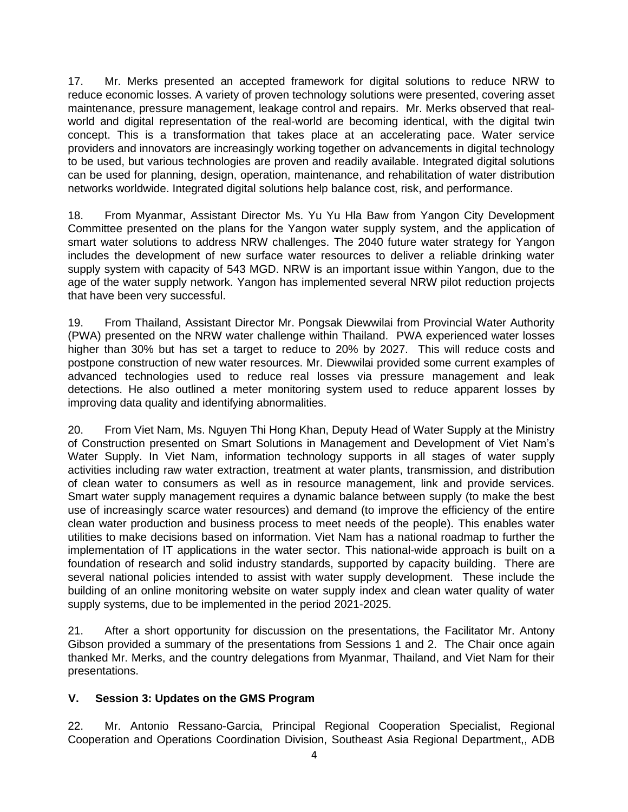17. Mr. Merks presented an accepted framework for digital solutions to reduce NRW to reduce economic losses. A variety of proven technology solutions were presented, covering asset maintenance, pressure management, leakage control and repairs. Mr. Merks observed that realworld and digital representation of the real-world are becoming identical, with the digital twin concept. This is a transformation that takes place at an accelerating pace. Water service providers and innovators are increasingly working together on advancements in digital technology to be used, but various technologies are proven and readily available. Integrated digital solutions can be used for planning, design, operation, maintenance, and rehabilitation of water distribution networks worldwide. Integrated digital solutions help balance cost, risk, and performance.

18. From Myanmar, Assistant Director Ms. Yu Yu Hla Baw from Yangon City Development Committee presented on the plans for the Yangon water supply system, and the application of smart water solutions to address NRW challenges. The 2040 future water strategy for Yangon includes the development of new surface water resources to deliver a reliable drinking water supply system with capacity of 543 MGD. NRW is an important issue within Yangon, due to the age of the water supply network. Yangon has implemented several NRW pilot reduction projects that have been very successful.

19. From Thailand, Assistant Director Mr. Pongsak Diewwilai from Provincial Water Authority (PWA) presented on the NRW water challenge within Thailand. PWA experienced water losses higher than 30% but has set a target to reduce to 20% by 2027. This will reduce costs and postpone construction of new water resources. Mr. Diewwilai provided some current examples of advanced technologies used to reduce real losses via pressure management and leak detections. He also outlined a meter monitoring system used to reduce apparent losses by improving data quality and identifying abnormalities.

20. From Viet Nam, Ms. Nguyen Thi Hong Khan, Deputy Head of Water Supply at the Ministry of Construction presented on Smart Solutions in Management and Development of Viet Nam's Water Supply. In Viet Nam, information technology supports in all stages of water supply activities including raw water extraction, treatment at water plants, transmission, and distribution of clean water to consumers as well as in resource management, link and provide services. Smart water supply management requires a dynamic balance between supply (to make the best use of increasingly scarce water resources) and demand (to improve the efficiency of the entire clean water production and business process to meet needs of the people). This enables water utilities to make decisions based on information. Viet Nam has a national roadmap to further the implementation of IT applications in the water sector. This national-wide approach is built on a foundation of research and solid industry standards, supported by capacity building. There are several national policies intended to assist with water supply development. These include the building of an online monitoring website on water supply index and clean water quality of water supply systems, due to be implemented in the period 2021-2025.

21. After a short opportunity for discussion on the presentations, the Facilitator Mr. Antony Gibson provided a summary of the presentations from Sessions 1 and 2. The Chair once again thanked Mr. Merks, and the country delegations from Myanmar, Thailand, and Viet Nam for their presentations.

## **V. Session 3: Updates on the GMS Program**

22. Mr. Antonio Ressano-Garcia, Principal Regional Cooperation Specialist, Regional Cooperation and Operations Coordination Division, Southeast Asia Regional Department,, ADB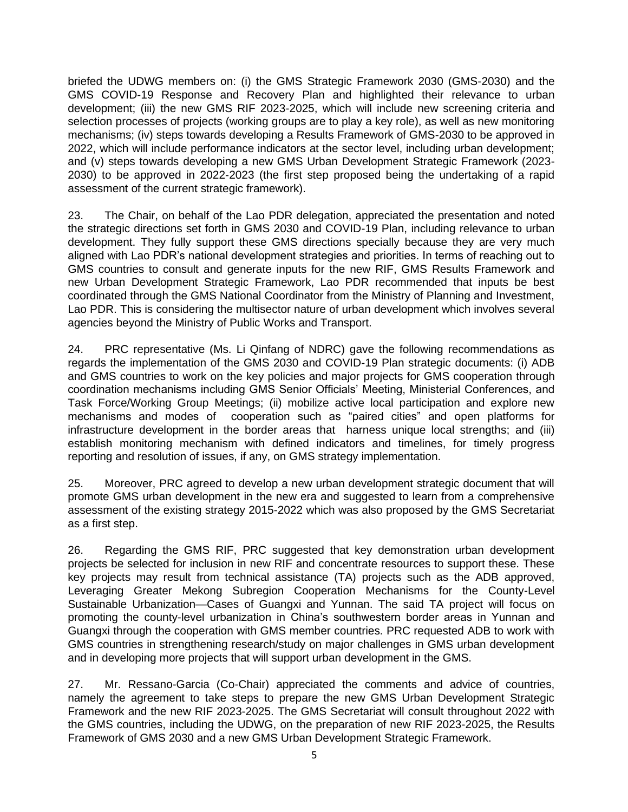briefed the UDWG members on: (i) the GMS Strategic Framework 2030 (GMS-2030) and the GMS COVID-19 Response and Recovery Plan and highlighted their relevance to urban development; (iii) the new GMS RIF 2023-2025, which will include new screening criteria and selection processes of projects (working groups are to play a key role), as well as new monitoring mechanisms; (iv) steps towards developing a Results Framework of GMS-2030 to be approved in 2022, which will include performance indicators at the sector level, including urban development; and (v) steps towards developing a new GMS Urban Development Strategic Framework (2023- 2030) to be approved in 2022-2023 (the first step proposed being the undertaking of a rapid assessment of the current strategic framework).

23. The Chair, on behalf of the Lao PDR delegation, appreciated the presentation and noted the strategic directions set forth in GMS 2030 and COVID-19 Plan, including relevance to urban development. They fully support these GMS directions specially because they are very much aligned with Lao PDR's national development strategies and priorities. In terms of reaching out to GMS countries to consult and generate inputs for the new RIF, GMS Results Framework and new Urban Development Strategic Framework, Lao PDR recommended that inputs be best coordinated through the GMS National Coordinator from the Ministry of Planning and Investment, Lao PDR. This is considering the multisector nature of urban development which involves several agencies beyond the Ministry of Public Works and Transport.

24. PRC representative (Ms. Li Qinfang of NDRC) gave the following recommendations as regards the implementation of the GMS 2030 and COVID-19 Plan strategic documents: (i) ADB and GMS countries to work on the key policies and major projects for GMS cooperation through coordination mechanisms including GMS Senior Officials' Meeting, Ministerial Conferences, and Task Force/Working Group Meetings; (ii) mobilize active local participation and explore new mechanisms and modes of cooperation such as "paired cities" and open platforms for infrastructure development in the border areas that harness unique local strengths; and (iii) establish monitoring mechanism with defined indicators and timelines, for timely progress reporting and resolution of issues, if any, on GMS strategy implementation.

25. Moreover, PRC agreed to develop a new urban development strategic document that will promote GMS urban development in the new era and suggested to learn from a comprehensive assessment of the existing strategy 2015-2022 which was also proposed by the GMS Secretariat as a first step.

26. Regarding the GMS RIF, PRC suggested that key demonstration urban development projects be selected for inclusion in new RIF and concentrate resources to support these. These key projects may result from technical assistance (TA) projects such as the ADB approved, Leveraging Greater Mekong Subregion Cooperation Mechanisms for the County-Level Sustainable Urbanization—Cases of Guangxi and Yunnan. The said TA project will focus on promoting the county-level urbanization in China's southwestern border areas in Yunnan and Guangxi through the cooperation with GMS member countries. PRC requested ADB to work with GMS countries in strengthening research/study on major challenges in GMS urban development and in developing more projects that will support urban development in the GMS.

27. Mr. Ressano-Garcia (Co-Chair) appreciated the comments and advice of countries, namely the agreement to take steps to prepare the new GMS Urban Development Strategic Framework and the new RIF 2023-2025. The GMS Secretariat will consult throughout 2022 with the GMS countries, including the UDWG, on the preparation of new RIF 2023-2025, the Results Framework of GMS 2030 and a new GMS Urban Development Strategic Framework.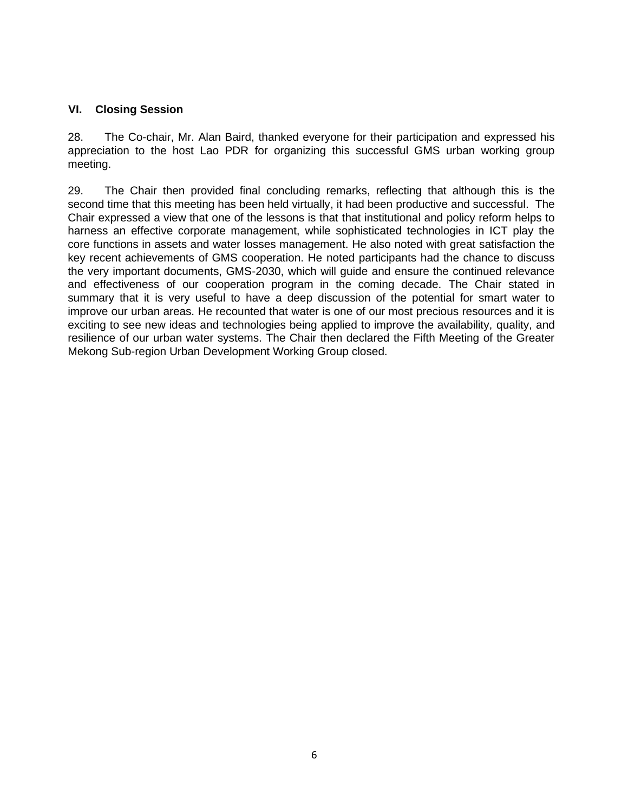## **VI. Closing Session**

28. The Co-chair, Mr. Alan Baird, thanked everyone for their participation and expressed his appreciation to the host Lao PDR for organizing this successful GMS urban working group meeting.

29. The Chair then provided final concluding remarks, reflecting that although this is the second time that this meeting has been held virtually, it had been productive and successful. The Chair expressed a view that one of the lessons is that that institutional and policy reform helps to harness an effective corporate management, while sophisticated technologies in ICT play the core functions in assets and water losses management. He also noted with great satisfaction the key recent achievements of GMS cooperation. He noted participants had the chance to discuss the very important documents, GMS-2030, which will guide and ensure the continued relevance and effectiveness of our cooperation program in the coming decade. The Chair stated in summary that it is very useful to have a deep discussion of the potential for smart water to improve our urban areas. He recounted that water is one of our most precious resources and it is exciting to see new ideas and technologies being applied to improve the availability, quality, and resilience of our urban water systems. The Chair then declared the Fifth Meeting of the Greater Mekong Sub-region Urban Development Working Group closed.